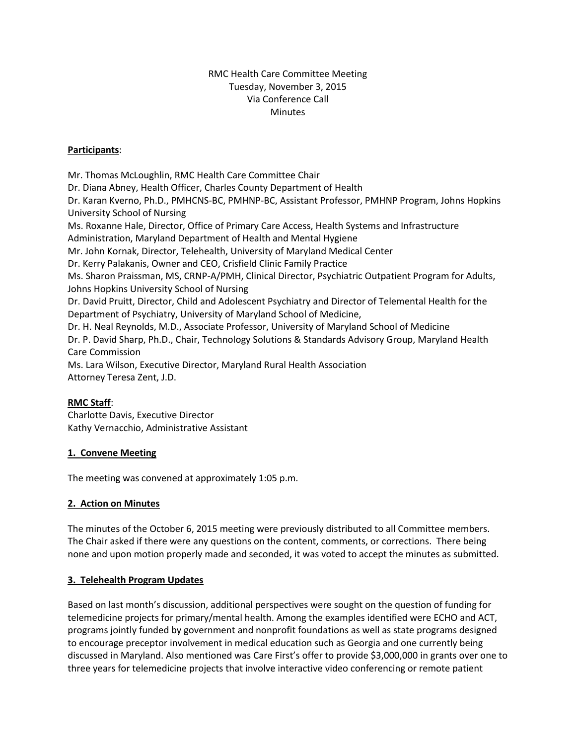# RMC Health Care Committee Meeting Tuesday, November 3, 2015 Via Conference Call **Minutes**

## **Participants**:

Mr. Thomas McLoughlin, RMC Health Care Committee Chair Dr. Diana Abney, Health Officer, Charles County Department of Health Dr. Karan Kverno, Ph.D., PMHCNS-BC, PMHNP-BC, Assistant Professor, PMHNP Program, Johns Hopkins University School of Nursing Ms. Roxanne Hale, Director, Office of Primary Care Access, Health Systems and Infrastructure Administration, Maryland Department of Health and Mental Hygiene Mr. John Kornak, Director, Telehealth, University of Maryland Medical Center Dr. Kerry Palakanis, Owner and CEO, Crisfield Clinic Family Practice Ms. Sharon Praissman, MS, CRNP-A/PMH, Clinical Director, Psychiatric Outpatient Program for Adults, Johns Hopkins University School of Nursing Dr. David Pruitt, Director, Child and Adolescent Psychiatry and Director of Telemental Health for the Department of Psychiatry, University of Maryland School of Medicine, Dr. H. Neal Reynolds, M.D., Associate Professor, University of Maryland School of Medicine Dr. P. David Sharp, Ph.D., Chair, Technology Solutions & Standards Advisory Group, Maryland Health Care Commission Ms. Lara Wilson, Executive Director, Maryland Rural Health Association Attorney Teresa Zent, J.D.

#### **RMC Staff**:

Charlotte Davis, Executive Director Kathy Vernacchio, Administrative Assistant

# **1. Convene Meeting**

The meeting was convened at approximately 1:05 p.m.

#### **2. Action on Minutes**

The minutes of the October 6, 2015 meeting were previously distributed to all Committee members. The Chair asked if there were any questions on the content, comments, or corrections. There being none and upon motion properly made and seconded, it was voted to accept the minutes as submitted.

#### **3. Telehealth Program Updates**

Based on last month's discussion, additional perspectives were sought on the question of funding for telemedicine projects for primary/mental health. Among the examples identified were ECHO and ACT, programs jointly funded by government and nonprofit foundations as well as state programs designed to encourage preceptor involvement in medical education such as Georgia and one currently being discussed in Maryland. Also mentioned was Care First's offer to provide \$3,000,000 in grants over one to three years for telemedicine projects that involve interactive video conferencing or remote patient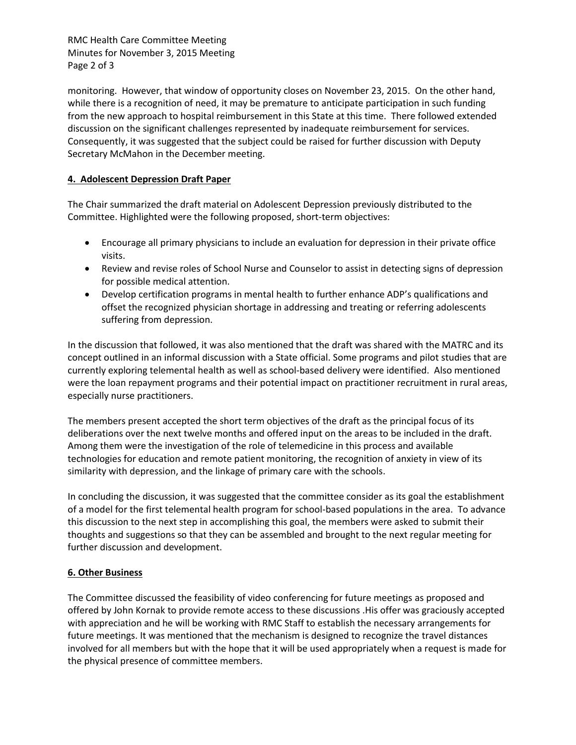RMC Health Care Committee Meeting Minutes for November 3, 2015 Meeting Page 2 of 3

monitoring. However, that window of opportunity closes on November 23, 2015. On the other hand, while there is a recognition of need, it may be premature to anticipate participation in such funding from the new approach to hospital reimbursement in this State at this time. There followed extended discussion on the significant challenges represented by inadequate reimbursement for services. Consequently, it was suggested that the subject could be raised for further discussion with Deputy Secretary McMahon in the December meeting.

### **4. Adolescent Depression Draft Paper**

The Chair summarized the draft material on Adolescent Depression previously distributed to the Committee. Highlighted were the following proposed, short-term objectives:

- Encourage all primary physicians to include an evaluation for depression in their private office visits.
- Review and revise roles of School Nurse and Counselor to assist in detecting signs of depression for possible medical attention.
- Develop certification programs in mental health to further enhance ADP's qualifications and offset the recognized physician shortage in addressing and treating or referring adolescents suffering from depression.

In the discussion that followed, it was also mentioned that the draft was shared with the MATRC and its concept outlined in an informal discussion with a State official. Some programs and pilot studies that are currently exploring telemental health as well as school-based delivery were identified. Also mentioned were the loan repayment programs and their potential impact on practitioner recruitment in rural areas, especially nurse practitioners.

The members present accepted the short term objectives of the draft as the principal focus of its deliberations over the next twelve months and offered input on the areas to be included in the draft. Among them were the investigation of the role of telemedicine in this process and available technologies for education and remote patient monitoring, the recognition of anxiety in view of its similarity with depression, and the linkage of primary care with the schools.

In concluding the discussion, it was suggested that the committee consider as its goal the establishment of a model for the first telemental health program for school-based populations in the area. To advance this discussion to the next step in accomplishing this goal, the members were asked to submit their thoughts and suggestions so that they can be assembled and brought to the next regular meeting for further discussion and development.

#### **6. Other Business**

The Committee discussed the feasibility of video conferencing for future meetings as proposed and offered by John Kornak to provide remote access to these discussions .His offer was graciously accepted with appreciation and he will be working with RMC Staff to establish the necessary arrangements for future meetings. It was mentioned that the mechanism is designed to recognize the travel distances involved for all members but with the hope that it will be used appropriately when a request is made for the physical presence of committee members.